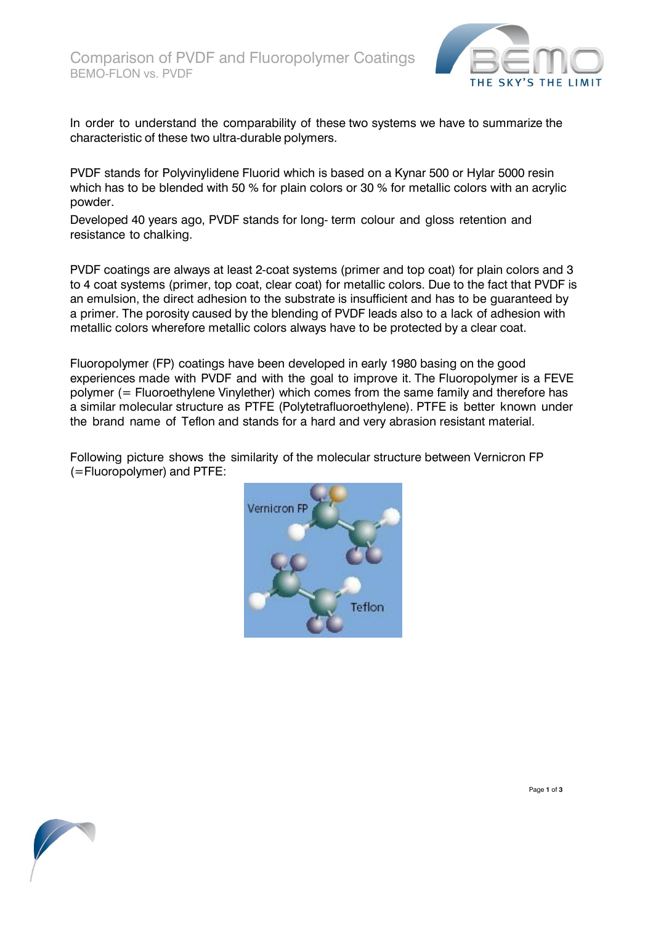

In order to understand the comparability of these two systems we have to summarize the characteristic of these two ultra-durable polymers.

PVDF stands for Polyvinylidene Fluorid which is based on a Kynar 500 or Hylar 5000 resin which has to be blended with 50 % for plain colors or 30 % for metallic colors with an acrylic powder.

Developed 40 years ago, PVDF stands for long- term colour and gloss retention and resistance to chalking.

PVDF coatings are always at least 2-coat systems (primer and top coat) for plain colors and 3 to 4 coat systems (primer, top coat, clear coat) for metallic colors. Due to the fact that PVDF is an emulsion, the direct adhesion to the substrate is insufficient and has to be guaranteed by a primer. The porosity caused by the blending of PVDF leads also to a lack of adhesion with metallic colors wherefore metallic colors always have to be protected by a clear coat.

Fluoropolymer (FP) coatings have been developed in early 1980 basing on the good experiences made with PVDF and with the goal to improve it. The Fluoropolymer is a FEVE polymer (= Fluoroethylene Vinylether) which comes from the same family and therefore has a similar molecular structure as PTFE (Polytetrafluoroethylene). PTFE is better known under the brand name of Teflon and stands for a hard and very abrasion resistant material.

Following picture shows the similarity of the molecular structure between Vernicron FP (=Fluoropolymer) and PTFE:



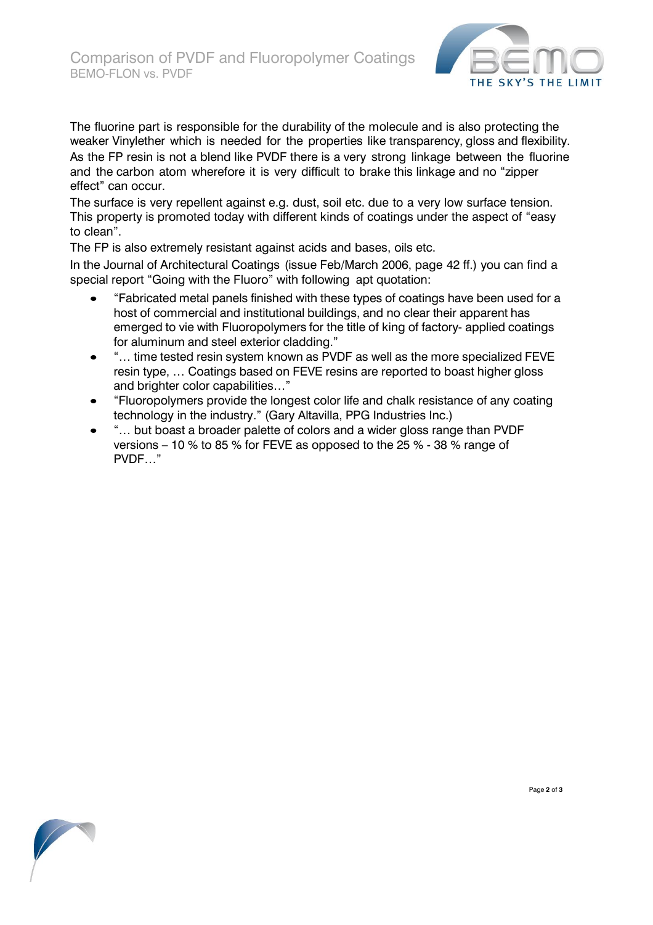

The fluorine part is responsible for the durability of the molecule and is also protecting the weaker Vinylether which is needed for the properties like transparency, gloss and flexibility. As the FP resin is not a blend like PVDF there is a very strong linkage between the fluorine and the carbon atom wherefore it is very difficult to brake this linkage and no "zipper effect" can occur.

The surface is very repellent against e.g. dust, soil etc. due to a very low surface tension. This property is promoted today with different kinds of coatings under the aspect of "easy to clean".

The FP is also extremely resistant against acids and bases, oils etc.

In the Journal of Architectural Coatings (issue Feb/March 2006, page 42 ff.) you can find a special report "Going with the Fluoro" with following apt quotation:

- "Fabricated metal panels finished with these types of coatings have been used for a host of commercial and institutional buildings, and no clear their apparent has emerged to vie with Fluoropolymers for the title of king of factory- applied coatings for aluminum and steel exterior cladding."
- "… time tested resin system known as PVDF as well as the more specialized FEVE resin type, … Coatings based on FEVE resins are reported to boast higher gloss and brighter color capabilities…"
- "Fluoropolymers provide the longest color life and chalk resistance of any coating technology in the industry." (Gary Altavilla, PPG Industries Inc.)
- "… but boast a broader palette of colors and a wider gloss range than PVDF versions – 10 % to 85 % for FEVE as opposed to the 25 % - 38 % range of PVDF…"



Page **2** of **3**